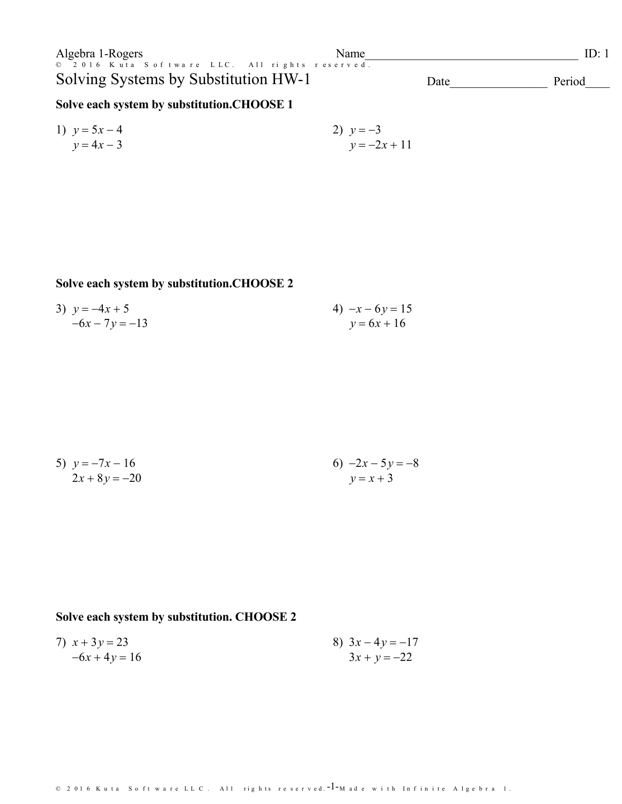| Algebra 1-Rogers                                                                       | Name |      | LD:    |
|----------------------------------------------------------------------------------------|------|------|--------|
| © 2016 Kuta Software LLC. All rights reserved.<br>Solving Systems by Substitution HW-1 |      | Date | Period |
|                                                                                        |      |      |        |

## Solve each system by substitution.CHOOSE 1

1) 
$$
y = 5x - 4
$$
  
\n $y = 4x - 3$   
\n2)  $y = -3$   
\n $y = -2x + 11$ 

## Solve each system by substitution.CHOOSE 2

3) 
$$
y = -4x + 5
$$
  
\n $-6x - 7y = -13$   
\n4)  $-x - 6y = 15$   
\n $y = 6x + 16$ 

5) 
$$
y = -7x - 16
$$
  
  $2x + 8y = -20$   
  $y = x + 3$ 

# Solve each system by substitution. CHOOSE 2

7) 
$$
x + 3y = 23
$$
  
\n $-6x + 4y = 16$   
\n8)  $3x - 4y = -17$   
\n $3x + y = -22$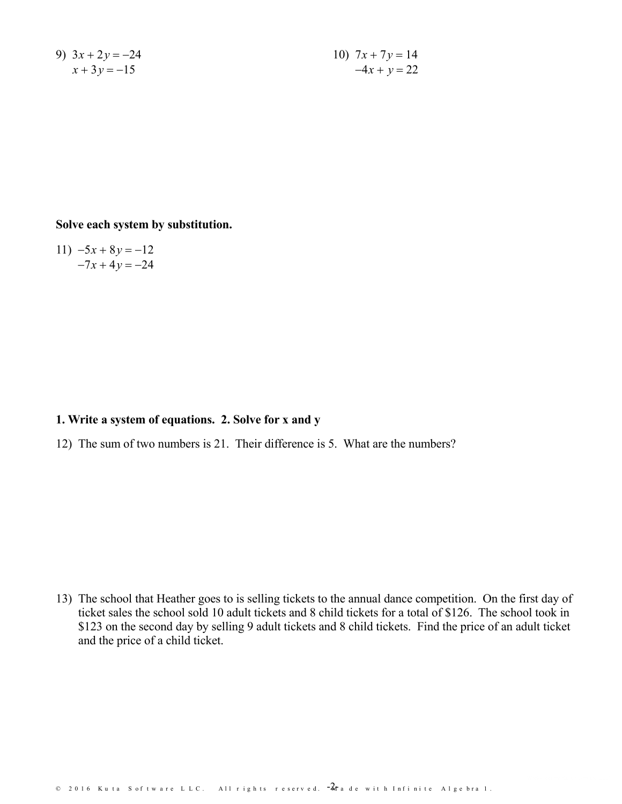9) 
$$
3x + 2y = -24
$$

$$
x + 3y = -15
$$

10)  $7x + 7y = 14$ <br> $-4x + y = 22$ 

#### **Solve each system by substitution.**

11)  $-5x + 8y = -12$ <br> $-7x + 4y = -24$ 

#### **1. Write a system of equations. 2. Solve for x and y**

12) The sum of two numbers is21. Their difference is 5. What are the numbers?

13) The school that Heather goes to is selling tickets to the annual dance competition. On the first day of ticket sales the school sold 10 adult tickets and 8 child tickets for a total of \$126. The school took in \$123 on the second day by selling 9 adult tickets and 8 child tickets. Find the price of an adult ticket and the price of a child ticket.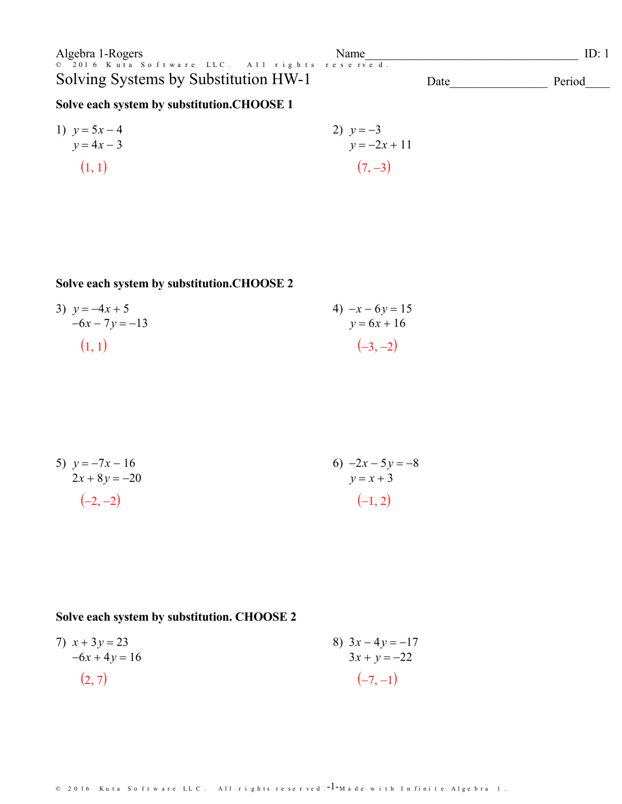Algebra 1-Rogers Name<br>© 2016 Kuta Software LLC. All rights reserved. Solving Systems by Substitution HW-1

 $ID: 1$ Date Period

## Solve each system by substitution.CHOOSE 1

1) 
$$
y = 5x - 4
$$
  
\n $y = 4x - 3$   
\n(1, 1) (7, -3)

## Solve each system by substitution.CHOOSE 2

3) 
$$
y = -4x + 5
$$
  
\n $-6x - 7y = -13$   
\n(1, 1)  $(-3, -2)$ 

5) 
$$
y = -7x - 16
$$
  
\n $2x + 8y = -20$   
\n $(-2, -2)$   
\n $(-1, 2)$ 

### Solve each system by substitution. CHOOSE 2

7) 
$$
x + 3y = 23
$$
  
\n $-6x + 4y = 16$   
\n(2, 7) (2, 7)